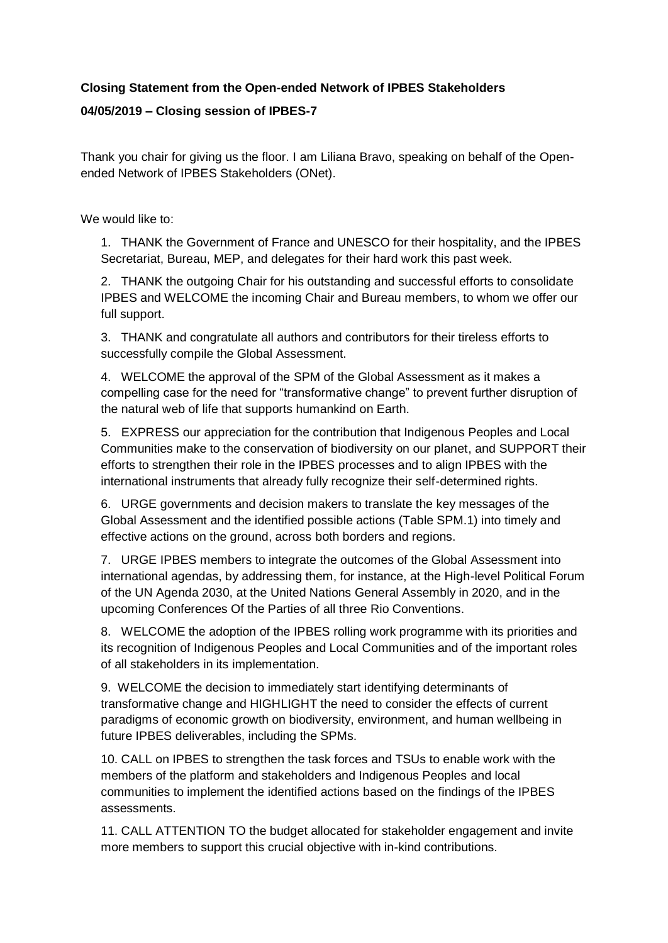## **Closing Statement from the Open-ended Network of IPBES Stakeholders**

## **04/05/2019 – Closing session of IPBES-7**

Thank you chair for giving us the floor. I am Liliana Bravo, speaking on behalf of the Openended Network of IPBES Stakeholders (ONet).

We would like to:

1. THANK the Government of France and UNESCO for their hospitality, and the IPBES Secretariat, Bureau, MEP, and delegates for their hard work this past week.

2. THANK the outgoing Chair for his outstanding and successful efforts to consolidate IPBES and WELCOME the incoming Chair and Bureau members, to whom we offer our full support.

3. THANK and congratulate all authors and contributors for their tireless efforts to successfully compile the Global Assessment.

4. WELCOME the approval of the SPM of the Global Assessment as it makes a compelling case for the need for "transformative change" to prevent further disruption of the natural web of life that supports humankind on Earth.

5. EXPRESS our appreciation for the contribution that Indigenous Peoples and Local Communities make to the conservation of biodiversity on our planet, and SUPPORT their efforts to strengthen their role in the IPBES processes and to align IPBES with the international instruments that already fully recognize their self-determined rights.

6. URGE governments and decision makers to translate the key messages of the Global Assessment and the identified possible actions (Table SPM.1) into timely and effective actions on the ground, across both borders and regions.

7. URGE IPBES members to integrate the outcomes of the Global Assessment into international agendas, by addressing them, for instance, at the High-level Political Forum of the UN Agenda 2030, at the United Nations General Assembly in 2020, and in the upcoming Conferences Of the Parties of all three Rio Conventions.

8. WELCOME the adoption of the IPBES rolling work programme with its priorities and its recognition of Indigenous Peoples and Local Communities and of the important roles of all stakeholders in its implementation.

9. WELCOME the decision to immediately start identifying determinants of transformative change and HIGHLIGHT the need to consider the effects of current paradigms of economic growth on biodiversity, environment, and human wellbeing in future IPBES deliverables, including the SPMs.

10. CALL on IPBES to strengthen the task forces and TSUs to enable work with the members of the platform and stakeholders and Indigenous Peoples and local communities to implement the identified actions based on the findings of the IPBES assessments.

11. CALL ATTENTION TO the budget allocated for stakeholder engagement and invite more members to support this crucial objective with in-kind contributions.